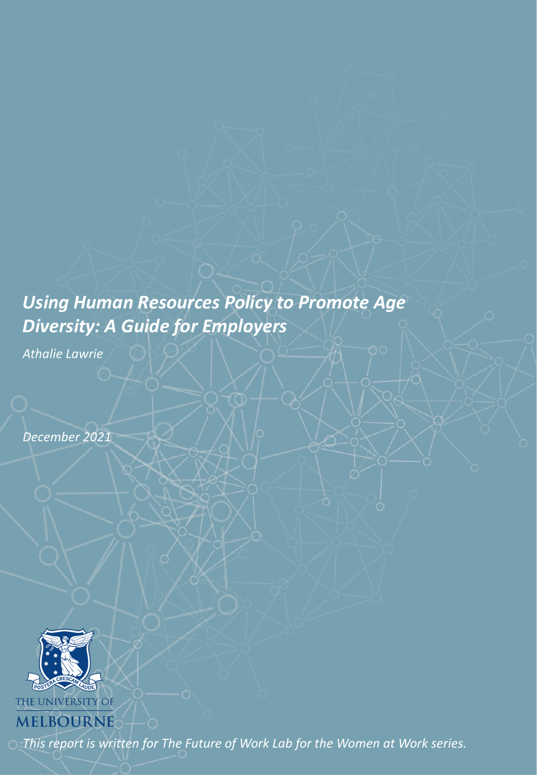# *Using Human Resources Policy to Promote Age Diversity*

*AthalieLawrie*

*December 2021*



MELBOURNE

*This report is written for The Future of Work Lab.*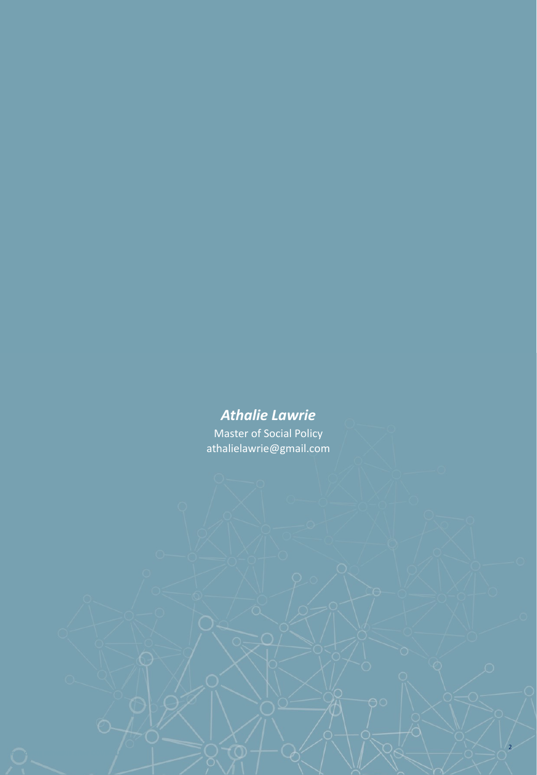## **Athalie Lawrie**

Master of Social Policy<br>athalielawrie@gmail.com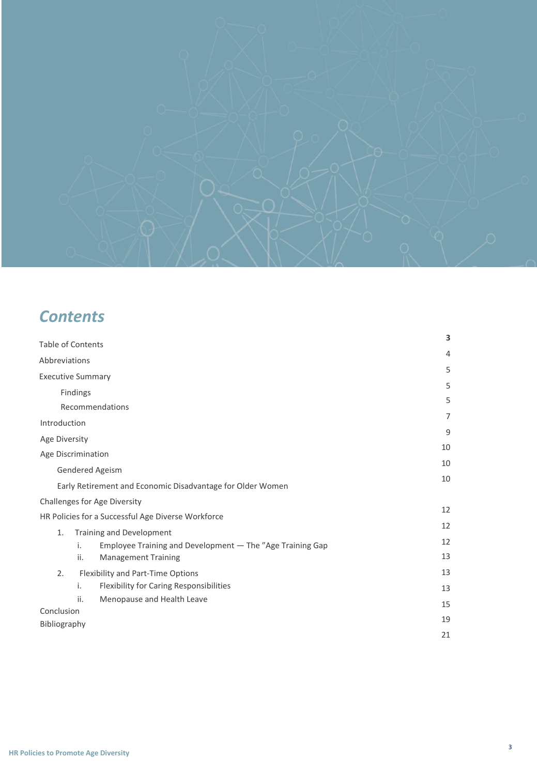

## *Contents*

| <b>Table of Contents</b>                           |                                   |                                                            | 3  |
|----------------------------------------------------|-----------------------------------|------------------------------------------------------------|----|
|                                                    |                                   |                                                            | 4  |
| Abbreviations                                      |                                   |                                                            | 5  |
| <b>Executive Summary</b>                           |                                   |                                                            |    |
|                                                    | Findings                          |                                                            | 5  |
|                                                    |                                   | Recommendations                                            | 5  |
| Introduction                                       |                                   |                                                            | 7  |
| Age Diversity                                      |                                   |                                                            | 9  |
| Age Discrimination                                 |                                   |                                                            | 10 |
|                                                    |                                   |                                                            | 10 |
|                                                    | Gendered Ageism                   |                                                            |    |
|                                                    |                                   | Early Retirement and Economic Disadvantage for Older Women |    |
|                                                    |                                   | Challenges for Age Diversity                               | 12 |
| HR Policies for a Successful Age Diverse Workforce |                                   |                                                            |    |
| $\mathbf{1}$ .                                     | Training and Development          |                                                            | 12 |
|                                                    | i.                                | Employee Training and Development - The "Age Training Gap  | 12 |
|                                                    | ii.                               | <b>Management Training</b>                                 | 13 |
| 2.                                                 | Flexibility and Part-Time Options |                                                            | 13 |
|                                                    | i.                                | <b>Flexibility for Caring Responsibilities</b>             | 13 |
|                                                    | ii.                               | Menopause and Health Leave                                 | 15 |
| Conclusion                                         |                                   |                                                            | 19 |
| Bibliography                                       |                                   |                                                            |    |
|                                                    |                                   |                                                            | 21 |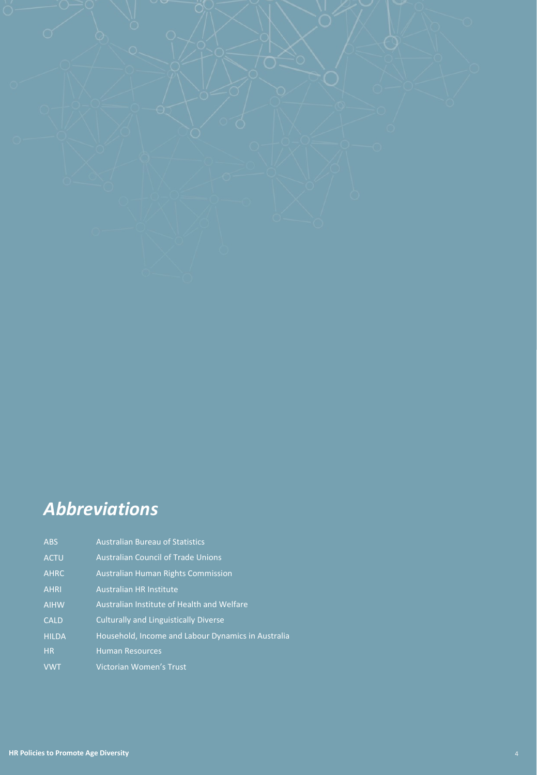

# *Abbreviations*

| <b>ABS</b>   | <b>Australian Bureau of Statistics</b>             |
|--------------|----------------------------------------------------|
| <b>ACTU</b>  | <b>Australian Council of Trade Unions</b>          |
| <b>AHRC</b>  | <b>Australian Human Rights Commission</b>          |
| <b>AHRI</b>  | <b>Australian HR Institute</b>                     |
| <b>AIHW</b>  | Australian Institute of Health and Welfare         |
| <b>CALD</b>  | Culturally and Linguistically Diverse              |
| <b>HILDA</b> | Household, Income and Labour Dynamics in Australia |
| <b>HR</b>    | <b>Human Resources</b>                             |
| <b>VWT</b>   | Victorian Women's Trust                            |
|              |                                                    |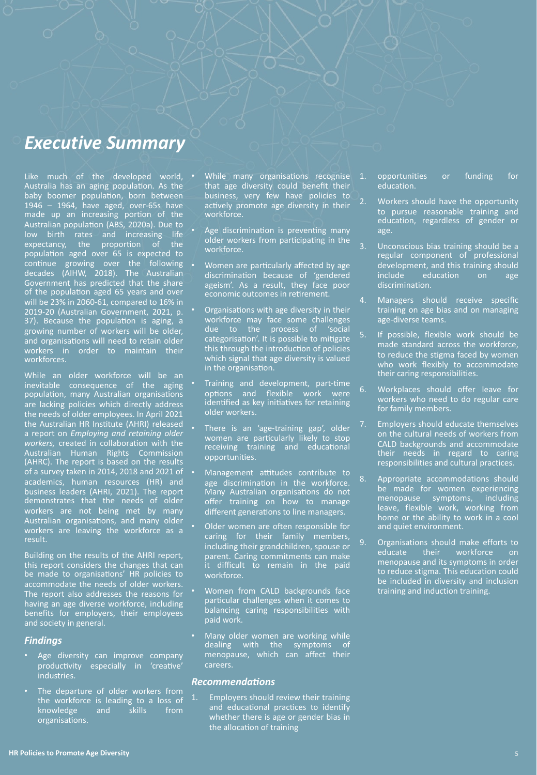## *Executive Summary*

Like much of the developed world, Australia has an aging population. As the baby boomer population, born between 1946 – 1964, have aged, over-65s have made up an increasing portion of the Australian population (ABS, 2020a). Due to low birth rates and increasing life expectancy, the proportion of the population aged over 65 is expected to continue growing over the following decades (AIHW, 2018). The Australian Government has predicted that the share of the population aged 65 years and over will be 23% in 2060-61, compared to 16% in 2019-20 (Australian Government, 2021, p. 37). Because the population is aging, a growing number of workers will be older, and organisations will need to retain older workers in order to maintain their workforces.

While an older workforce will be an inevitable consequence of the aging population, many Australian organisations are lacking policies which directly address the needs of older employees. In April 2021 the Australian HR Institute (AHRI) released a report on *Employing and retaining older* workers, created in collaboration with the Australian Human Rights Commission (AHRC). The report is based on the results of a survey taken in 2014, 2018 and 2021 of academics, human resources (HR) and business leaders (AHRI, 2021). The report demonstrates that the needs of older workers are not being met by many Australian organisations, and many older workers are leaving the workforce as a result.

Building on the results of the AHRI report, this report considers the changes that can be made to organisations' HR policies to accommodate the needs of older workers. The report also addresses the reasons for having an age diverse workforce, including benefits for employers, their employees and society in general.

## *Findings*

- Age diversity can improve company productivity especially in 'creative' industries.
- The departure of older workers from the workforce is leading to a loss of knowledge and skills from organisations.
- While many organisations recognise that age diversity could benefit their business, very few have policies to actively promote age diversity in their workforce.
- Age discrimination is preventing many older workers from participating in the workforce.
- Women are particularly affected by age discrimination because of 'gendered ageism'. As a result, they face poor economic outcomes in retirement.
- Organisations with age diversity in their workforce may face some challenges due to the process of 'social categorisation'. It is possible to mitigate this through the introduction of policies which signal that age diversity is valued in the organisation.
- Training and development, part-time options and flexible work were identified as key initiatives for retaining older workers.
- There is an 'age-training gap', older women are particularly likely to stop receiving training and educational opportunities.
- Management attitudes contribute to age discrimination in the workforce. Many Australian organisations do not offer training on how to manage different generations to line managers.
- Older women are often responsible for caring for their family members, including their grandchildren, spouse or parent. Caring commitments can make it difficult to remain in the paid workforce.
- Women from CALD backgrounds face particular challenges when it comes to balancing caring responsibilities with paid work.
- Many older women are working while dealing with the symptoms of menopause, which can affect their careers.

## **Recommendations**

Employers should review their training and educational practices to identify whether there is age or gender bias in the allocation of training

- 1. opportunities or funding for education.
- 2. Workers should have the opportunity to pursue reasonable training and education, regardless of gender or age.
- Unconscious bias training should be a regular component of professional development, and this training should include education on
- 4. Managers should receive specific training on age bias and on managing age-diverse teams.
- If possible, flexible work should be made standard across the workforce, to reduce the stigma faced by women who work flexibly to accommodate their caring responsibilities.
- 6. Workplaces should offer leave for workers who need to do regular care for family members.
- Employers should educate themselves on the cultural needs of workers from CALD backgrounds and accommodate their needs in regard to caring responsibilities and cultural practices.
- 8. Appropriate accommodations should be made for women experiencing menopause symptoms, including leave, flexible work, working from home or the ability to work in a cool and quiet environment.
- 9. Organisations should make efforts to educate their workforce on menopause and its symptoms in order to reduce stigma. This education could be included in diversity and inclusion training and induction training.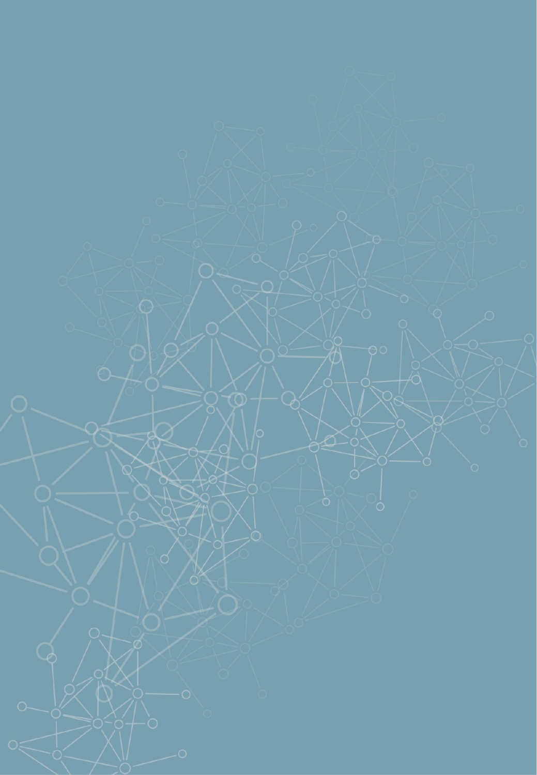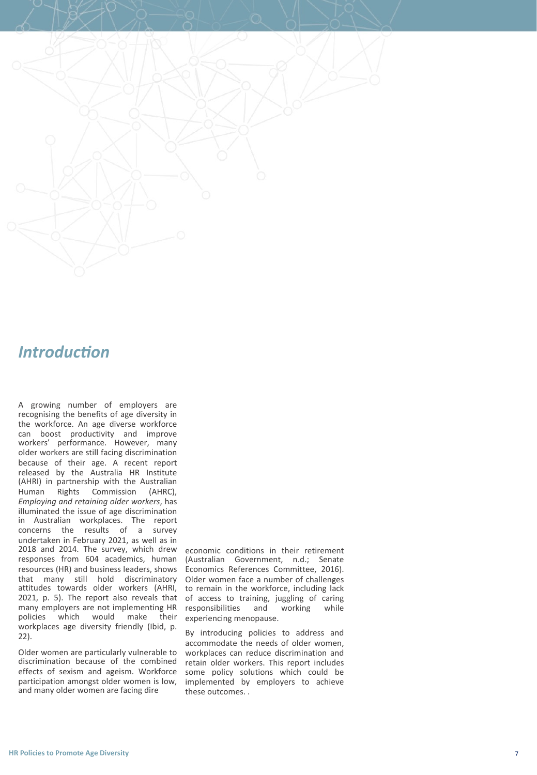

## *Introduction*

A growing number of employers are recognising the benefits of age diversity in the workforce . An age diverse workforce can boost productivity and improve workers' performance . However, many older workers are still facing discrimination because of their age . A recent report released by the Australia HR Institute (AHRI) in partnership with the Australian Human Rights Commission (AHRC), *Employing and retaining older workers* , has illuminated the issue of age discrimination in Australian workplaces . The report concerns the results of a survey undertaken in February 2021 , as well as in 2018 and 2014 . The survey, which drew responses from 604 academics, human resources (HR) and business leaders, shows that many still hold discriminatory attitudes towards older workers (AHRI, 2021 , p . 5 ) . The report also reveals that many employers are not implementing HR policies which would make their workplaces age diversity friendly (Ibid, p . 22 ) .

Older women are particularly vulnerable to discrimination because of the combined effects of sexism and ageism . Workforce participation amongst older women is low, and many older women are facing dire

economic conditions in their retirement (Australian Government, n.d.; Senate Economics References Committee, 2016 ) . Older women face a number of challenges to remain in the workforce, including lack of access to training, juggling of caring responsibilities and working while experiencing menopause .

By introducing policies to address and accommodate the needs of older women, workplaces can reduce discrimination and retain older workers . This report includes some policy solutions which could be implemented by employers to achieve these outcomes . .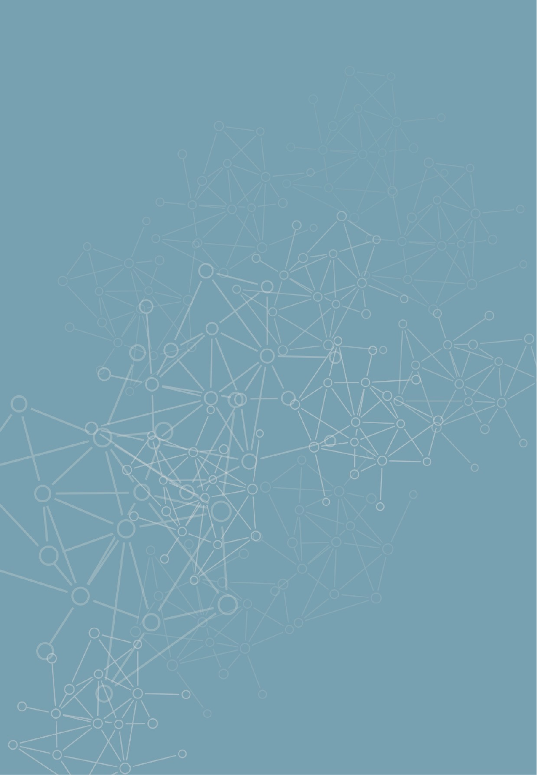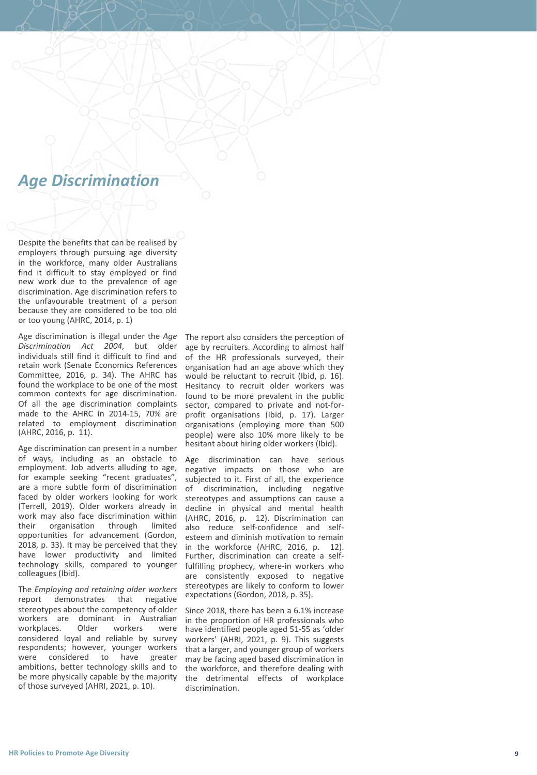## *Age Discrimination*

Despite the benefits that can be realised by employers through pursuing age diversity in the workforce, many older Australians<br>find it difficult to stay employed or find new work due to the prevalence of age discrimination . Age discrimination refers to the unfavourable treatment of a person because they are considered to be too old or too young (AHRC, 2014, p. 1)

Age discrimination is illegal under the *Age Discrimination Act 2004* , but older individuals still find it difficult to find and retain work (Senate Economics References Committee, 2016 , p . 34 ) . The AHRC has found the workplace to be one of the most common contexts for age discrimination . Of all the age discrimination complaints made to the AHRC in 2014 -15 , 70 % are related to employment discrimination (AHRC, 2016, p. 11).

Age discrimination can present in a number of ways, including as an obstacle to employment . Job adverts alluding to age, for example seeking "recent graduates", are a more subtle form of discrimination faced by older workers looking for work (Terrell, 2019 ) . Older workers already in work may also face discrimination within their organisation through limited opportunities for advancement (Gordon, 2018 , p . 33 ) . It may be perceived that they have lower productivity and limited technology skills, compared to younger colleagues (Ibid) .

The *Employing and retaining older workers* report demonstrates that negative stereotypes about the competency of older workers are dominant in Australian workplaces . Older workers were considered loyal and reliable by survey respondents ; however, younger workers were considered to have greater ambitions, better technology skills and to be more physically capable by the majority of those surveyed (AHRI, 2021, p. 10).

The report also considers the perception of age by recruiters . According to almost half of the HR professionals surveyed, their organisation had an age above which they would be reluctant to recruit (Ibid, p. 16). Hesitancy to recruit older workers was found to be more prevalent in the public sector, compared to private and not-forprofit organisations (Ibid, p . 17 ) . Larger organisations (employing more than 500 people) were also 10 % more likely to be hesitant about hiring older workers (Ibid) .

Age discrimination can have serious negative impacts on those who are subjected to it . First of all, the experience of discrimination, including negative stereotypes and assumptions can cause a decline in physical and mental health (AHRC, 2016, p. 12) also reduce self-confidence and selfesteem and diminish motivation to remain in the workforce (AHRC, 2016, p. 12). Further, discrimination can create a self fulfilling prophecy, where -in workers who are consistently exposed to negative stereotypes are likely to conform to lower expectations (Gordon, 2018, p. 35).

Since 2018 , there has been a 6 . 1 % increase in the proportion of HR professionals who have identified people aged 51 -55 as 'older workers' (AHRI, 2021 , p . 9 ) . This suggests that a larger, and younger group of workers may be facing aged based discrimination in the workforce, and therefore dealing with the detrimental effects of workplace discrimination .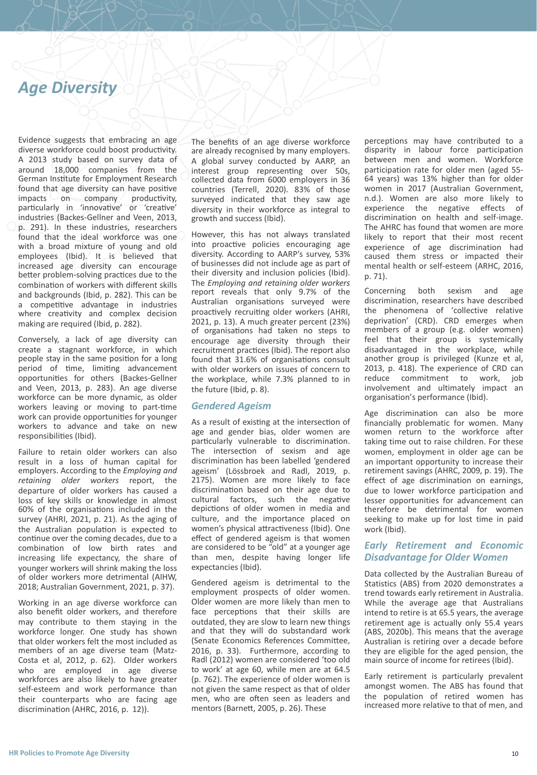## *Age Diversity*

Evidence suggests that embracing an age diverse workforce could boost productivity. A 2013 study based on survey data of around 18,000 companies from the German Institute for Employment Research found that age diversity can have positive impacts on company productivity, particularly in 'innovative' or 'creative' industries (Backes-Gellner and Veen, 2013, p. 291). In these industries, researchers found that the ideal workforce was one with a broad mixture of young and old employees (Ibid). It is believed that increased age diversity can encourage better problem-solving practices due to the combination of workers with different skills and backgrounds (Ibid, p. 282). This can be a competitive advantage in industries where creativity and complex decision making are required (Ibid, p. 282).

Conversely, a lack of age diversity can create a stagnant workforce, in which people stay in the same position for a long period of time, limiting advancement opportunities for others (Backes-Gellner and Veen, 2013, p. 283). An age diverse workforce can be more dynamic, as older workers leaving or moving to part-time work can provide opportunities for younger workers to advance and take on new responsibilities (Ibid).

Failure to retain older workers can also result in a loss of human capital for employers. According to the *Employing and retaining older workers* report, the departure of older workers has caused a loss of key skills or knowledge in almost 60% of the organisations included in the survey (AHRI, 2021, p. 21). As the aging of the Australian population is expected to continue over the coming decades, due to a combination of low birth rates and increasing life expectancy, the share of younger workers will shrink making the loss of older workers more detrimental (AIHW, 2018; Australian Government, 2021, p. 37).

Working in an age diverse workforce can also benefit older workers, and therefore may contribute to them staying in the workforce longer. One study has shown<br>that older workers felt the most included as members of an age diverse team (Matz-Costa et al, 2012, p. 62). Older workers who are employed in age diverse workforces are also likely to have greater self-esteem and work performance than their counterparts who are facing age discrimination (AHRC, 2016, p. 12)).

The benefits of an age diverse workforce are already recognised by many employers. A global survey conducted by AARP, an interest group representing over 50s, collected data from 6000 employers in 36 countries (Terrell, 2020). 83% of those surveyed indicated that they saw age diversity in their workforce as integral to growth and success (Ibid).

However, this has not always translated into proactive policies encouraging age diversity. According to AARP's survey, 53% of businesses did not include age as part of their diversity and inclusion policies (Ibid). The *Employing and retaining older workers* report reveals that only 9.7% of the Australian organisations surveyed were proactively recruiting older workers (AHRI, 2021, p. 13). A much greater percent (23%) of organisations had taken no steps to encourage age diversity through their recruitment practices (Ibid). The report also found that 31.6% of organisations consult with older workers on issues of concern to the workplace, while 7.3% planned to in the future (Ibid, p. 8).

## *Gendered Ageism*

As a result of existing at the intersection of age and gender bias, older women are particularly vulnerable to discrimination. The intersection of sexism and age discrimination has been labelled 'gendered<br>ageism' (Lössbroek and Radl, 2019, p. 2175). Women are more likely to face discrimination based on their age due to cultural factors, such the negative depictions of older women in media and culture, and the importance placed on women's physical attractiveness (Ibid). One<br>effect of gendered ageism is that women are considered to be "old" at a younger age than men, despite having longer life expectancies (Ibid).

Gendered ageism is detrimental to the employment prospects of older women. Older women are more likely than men to face perceptions that their skills are outdated, they are slow to learn new things and that they will do substandard work (Senate Economics References Committee, 2016, p. 33). Furthermore, according to Radl (2012) women are considered 'too old to work' at age 60, while men are at 64.5 (p. 762). The experience of older women is not given the same respect as that of older men, who are often seen as leaders and mentors (Barnett, 2005, p. 26). These

perceptions may have contributed to <sup>a</sup> disparity in labour force participation between men and women. Workforce participation rate for older men (aged 55- <sup>64</sup> years) was 13% higher than for older women in 2017 (Australian Government, n.d.). Women are also more likely to experience the negative effects of discrimination on health and self-image. The AHRC has found that women are more likely to report that their most recent experience of age discrimination had caused them stress or impacted their mental health or self-esteem (ARHC, 2016, p. 71).

Concerning both sexism and age discrimination, researchers have described the phenomena of 'collective relative deprivation' (CRD). CRD emerges when members of a group (e.g. older women) feel that their group is systemically disadvantaged in the workplace, while another group is privileged (Kunze et al, 2013, p. 418). The experience of CRD can reduce commitment to work, job involvement and ultimately impact an organisation's performance (Ibid).

Age discrimination can also be more financially problematic for women. Many women return to the workforce after taking time out to raise children. For these women, employment in older age can be an important opportunity to increase their retirement savings (AHRC, 2009, p. 19). The effect of age discrimination on earnings, due to lower workforce participation and lesser opportunities for advancement can therefore be detrimental for women seeking to make up for lost time in paid work (Ibid).

## *Early Retirement and Economic Disadvantage for Older Women*

Data collected by the Australian Bureau of Statistics (ABS) from 2020 demonstrates a trend towards early retirement in Australia. While the average age that Australians intend to retire is at 65.5 years, the average retirement age is actually only 55.4 years (ABS, 2020b). This means that the average Australian is retiring over a decade before they are eligible for the aged pension, the main source of income for retirees (Ibid).

Early retirement is particularly prevalent amongst women. The ABS has found that the population of retired women has increased more relative to that of men, and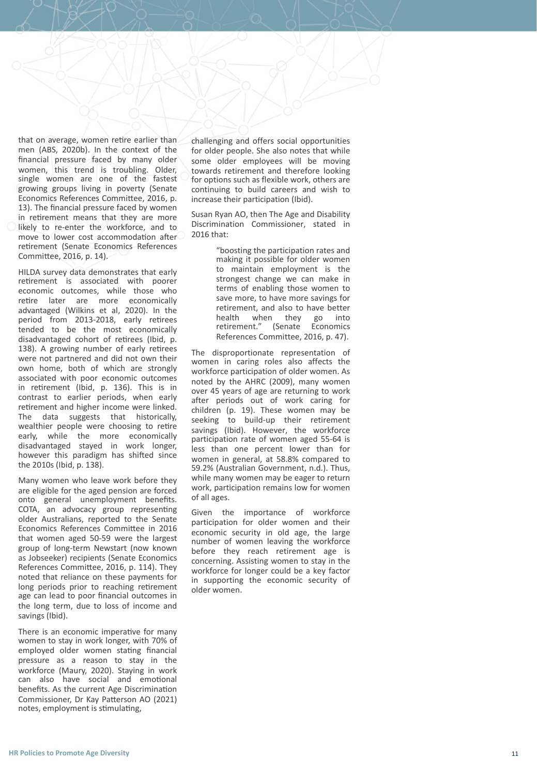that on average, women retire earlier than men (ABS, 2020b) . In the context of the financial pressure faced by many older women, this trend is troubling . Older, single women are one of the fastest growing groups living in poverty (Senate Economics References Committee, 2016, p 13). The financial pressure faced by women in retirement means that they are more likely to re -enter the workforce, and to move to lower cost accommodation after retirement (Senate Economics References Committee, 2016, p. 14).

HILDA survey data demonstrates that early retirement is associated with poorer economic outcomes, while those who retire later are more economically advantaged (Wilkins et al, 2020 ) . In the period from 2013-2018, early retirees tended to be the most economically disadvantaged cohort of retirees (Ibid, p. 138). A growing number of early retirees were not partnered and did not own their own home, both of which are strongly associated with poor economic outcomes in retirement (Ibid, p. 136). This is in contrast to earlier periods, when early retirement and higher income were linked. The data suggests that historically, wealthier people were choosing to retire early, while the more economically disadvantaged stayed in work longer, however this paradigm has shifed since the 2010s (Ibid, p. 138).

Many women who leave work before they are eligible for the aged pension are forced onto general unemployment benefits . COTA, an advocacy group representing older Australians, reported to the Senate Economics References Committee in 2016 that women aged 50 -59 were the largest group of long -term Newstart (now known as Jobseeker) recipients (Senate Economics References Committee, 2016, p. 114). They noted that reliance on these payments for long periods prior to reaching retirement age can lead to poor financial outcomes in the long term, due to loss of income and savings (Ibid) .

There is an economic imperative for many women to stay in work longer, with 70 % of employed older women stating financial pressure as a reason to stay in the workforce (Maury, 2020). Staying in work<br>can also have social and emotional benefits. As the current Age Discrimination Commissioner, Dr Kay Patterson AO (2021) notes, employment is stimulating,

challenging and offers social opportunities for older people . She also notes that while some older employees will be moving towards retirement and therefore looking for options such as flexible work, others are continuing to build careers and wish to increase their participation (Ibid) .

Susan Ryan AO, then The Age and Disability Discrimination Commissioner, stated in 2016 that :

> "boosting the participation rates and making it possible for older women to maintain employment is the strongest change we can make in terms of enabling those women to save more, to have more savings for retirement, and also to have better<br>health when they go into health when they go into<br>retirement." (Senate Economics retirement . Economics References Committee, 2016, p. 47).

The disproportionate representation of women in caring roles also affects the workforce participation of older women . As noted by the AHRC (2009), many women over 45 years of age are returning to work after periods out of work caring for children (p . 19 ) . These women may be seeking to build -up their retirement savings (Ibid) . However, the workforce participation rate of women aged 55 -64 is less than one percent lower than for women in general, at 58 . 8 % compared to 59.2% (Australian Government, n.d.). Thus, while many women may be eager to return work, participation remains low for women of all ages .

Given the importance of workforce participation for older women and their economic security in old age, the large number of women leaving the workforce before they reach retirement age is concerning . Assisting women to stay in the workforce for longer could be a key factor in supporting the economic security of older women .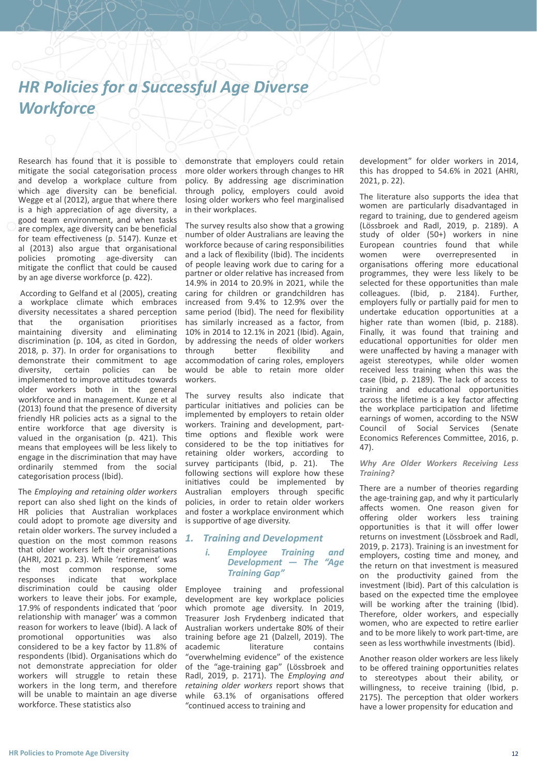## *HR Policies for a Successful Age Diverse Workforce*

Research has found that it is possible to mitigate the social categorisation process and develop a workplace culture from which age diversity can be beneficial. Wegge et al (2012), argue that where there is a high appreciation of age diversity, a<br>good team environment, and when tasks are complex, age diversity can be beneficial for team effectiveness (p. 5147). Kunze et al (2013) also argue that organisational policies promoting age-diversity can mitigate the conflict that could be caused by an age diverse workforce (p. 422).

According to Gelfand et al (2005), creating a workplace climate which embraces diversity necessitates a shared perception that the organisation prioritises maintaining diversity and eliminating discrimination (p. 104, as cited in Gordon, 2018, p. 37). In order for organisations to demonstrate their commitment to age diversity, certain policies can be implemented to improve attitudes towards older workers both in the general workforce and in management. Kunze et al (2013) found that the presence of diversity friendly HR policies acts as a signal to the entire workforce that age diversity is valued in the organisation (p. 421). This means that employees will be less likely to engage in the discrimination that may have ordinarily stemmed from the social categorisation process (Ibid).

The *Employing and retaining older workers* report can also shed light on the kinds of HR policies that Australian workplaces could adopt to promote age diversity and retain older workers. The survey included a question on the most common reasons that older workers left their organisations (AHRI, 2021 p. 23). While 'retirement' was the most common response, some responses indicate that workplace discrimination could be causing older workers to leave their jobs. For example, 17.9% of respondents indicated that 'poor relationship with manager' was a common reason for workers to leave (Ibid). A lack of promotional opportunities was also considered to be a key factor by 11.8% of respondents (Ibid). Organisations which do not demonstrate appreciation for older workers will struggle to retain these workers in the long term, and therefore will be unable to maintain an age diverse workforce. These statistics also

demonstrate that employers could retain more older workers through changes to HR policy. By addressing age discrimination through policy, employers could avoid losing older workers who feel marginalised in their workplaces.

The survey results also show that a growing number of older Australians are leaving the workforce because of caring responsibilities and a lack of flexibility (Ibid). The incidents of people leaving work due to caring for a partner or older relative has increased from 14.9% in 2014 to 20.9% in 2021, while the caring for children or grandchildren has increased from 9.4% to 12.9% over the same period (Ibid). The need for flexibility has similarly increased as a factor, from 10% in 2014 to 12.1% in 2021 (Ibid). Again, by addressing the needs of older workers through better flexibility and accommodation of caring roles, employers would be able to retain more older workers.

The survey results also indicate that particular initiatives and policies can be implemented by employers to retain older workers. Training and development, parttime options and flexible work were considered to be the top initiatives for retaining older workers, according to survey participants (Ibid, p. 21). The following sections will explore how these initiatives could be implemented by Australian employers through specific policies, in order to retain older workers and foster a workplace environment which is supportive of age diversity.

## *1. Training and Development*

## *i. Employee Training and Development — The "Age Training Gap"*

Employee training and professional development are key workplace policies which promote age diversity. In 2019, Treasurer Josh Frydenberg indicated that Australian workers undertake 80% of their training before age 21 (Dalzell, 2019). The academic literature contains "overwhelming evidence" of the existence of the "age-training gap" (Lössbroek and Radl, 2019, p. 2171). The *Employing and retaining older workers* report shows that while 63.1% of organisations offered "continued access to training and

development" for older workers in 2014, this has dropped to 54.6% in 2021 (AHRI, 2021, p. 22).

The literature also supports the idea that women are particularly disadvantaged in regard to training, due to gendered ageism (Lössbroek and Radl, 2019, p. 2189). A study of older (50+) workers in nine European countries found that while women were overrepresented in organisations offering more educational programmes, they were less likely to be selected for these opportunities than male colleagues. (Ibid, p. 2184). Further, employers fully or partially paid for men to undertake education opportunities at a higher rate than women (Ibid, p. 2188). Finally, it was found that training and educational opportunities for older men were unaffected by having a manager with ageist stereotypes, while older women received less training when this was the case (Ibid, p. 2189). The lack of access to training and educational opportunities across the lifetime is a key factor affecting the workplace participation and lifetime earnings of women, according to the NSW Council of Social Services (Senate Economics References Committee, 2016, p. 47).

### *Why Are Older Workers Receiving Less Training?*

There are a number of theories regarding the age-training gap, and why it particularly affects women. One reason given for offering older workers less training opportunities is that it will offer lower returns on investment (Lössbroek and Radl, 2019, p. 2173). Training is an investment for employers, costing time and money, and the return on that investment is measured on the productivity gained from the investment (Ibid). Part of this calculation is based on the expected time the employee will be working after the training (Ibid). Therefore, older workers, and especially women, who are expected to retire earlier and to be more likely to work part-time, are seen as less worthwhile investments (Ibid).

Another reason older workers are less likely to be offered training opportunities relates to stereotypes about their ability, or willingness, to receive training (Ibid, p. 2175). The perception that older workers have a lower propensity for education and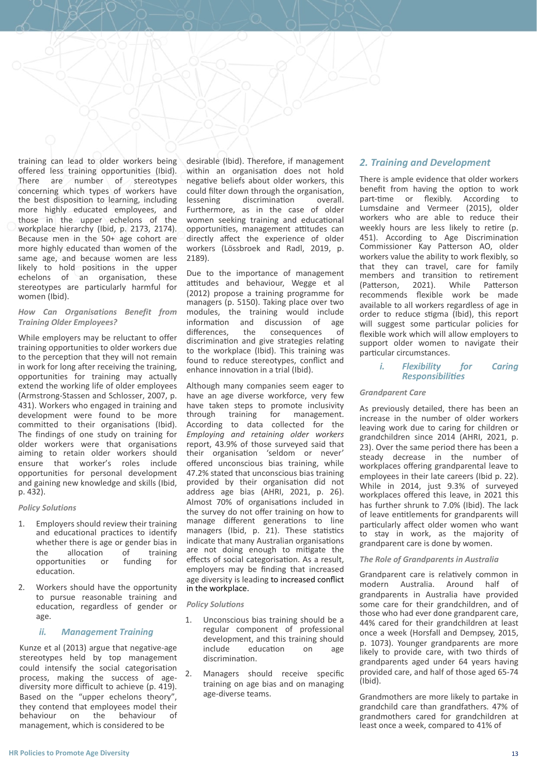offered less training opportunities (Ibid). There are number of stereotypes concerning which types of workers have the best disposition to learning, including more highly educated employees, and those in the upper echelons of the workplace hierarchy (Ibid, p. 2173, 2174). Because men in the 50+ age cohort are more highly educated than women of the same age, and because women are less likely to hold positions in the upper echelons of an organisation, these stereotypes are particularly harmful for women (Ibid).

### *How Can Organisations Benefit from Training Older Employees?*

While employers may be reluctant to offer training opportunities to older workers due to the perception that they will not remain in work for long after receiving the training, opportunities for training may actually extend the working life of older employees (Armstrong-Stassen and Schlosser, 2007, p. 431). Workers who engaged in training and development were found to be more committed to their organisations (Ibid). The findings of one study on training for older workers were that organisations aiming to retain older workers should ensure that worker's roles include opportunities for personal development and gaining new knowledge and skills (Ibid, p. 432).

### *Policy Solutions*

- 1. Employers should review their training and educational practices to identify whether there is age or gender bias in the allocation of training<br>opportunities or funding for opportunities or education.
- 2. Workers should have the opportunity to pursue reasonable training and education, regardless of gender or age.

## *ii. Management Training*

Kunze et al (2013) argue that negative-age stereotypes held by top management could intensify the social categorisation process, making the success of age-<br>diversity more difficult to achieve (p. 419). Based on the "upper echelons theory", they contend that employees model their<br>behaviour on the behaviour of behaviour on the behaviour of management, which is considered to be

training can lead to older workers being desirable (Ibid). Therefore, if management within an organisation does not hold negative beliefs about older workers, this could filter down through the organisation,<br>lessening discrimination overall. discrimination overall. Furthermore, as in the case of older women seeking training and educational opportunities, management attitudes can directly affect the experience of older workers (Lössbroek and Radl, 2019, p. 2189).

> Due to the importance of management attitudes and behaviour, Wegge et al (2012) propose a training programme for managers (p. 5150). Taking place over two modules, the training would include information and discussion of age differences, the consequences of discrimination and give strategies relating to the workplace (Ibid). This training was found to reduce stereotypes, conflict and enhance innovation in a trial (Ibid).

> Although many companies seem eager to have an age diverse workforce, very few have taken steps to promote inclusivity through training for management. According to data collected for the *Employing and retaining older workers* report, 43.9% of those surveyed said that their organisation 'seldom or never' offered unconscious bias training, while 47.2% stated that unconscious bias training provided by their organisation did not address age bias (AHRI, 2021, p. 26). Almost 70% of organisations included in the survey do not offer training on how to manage different generations to line managers (Ibid, p. 21). These statistics indicate that many Australian organisations<br>are not doing enough to mitigate the effects of social categorisation. As a result, employers may be finding that increased age diversity is leading to increased conflict in the workplace.

**Policy Solutions** 

- Unconscious bias training should be a regular component of professional development, and this training should<br>include education on age education on age discrimination.
- Managers should receive specific training on age bias and on managing age-diverse teams.

## *2. Training and Development*

There is ample evidence that older workers benefit from having the option to work part-time or flexibly. According to Lumsdaine and Vermeer (2015), older workers who are able to reduce their weekly hours are less likely to retire (p. 451). According to Age Discrimination Commissioner Kay Patterson AO, older workers value the ability to work flexibly, so that they can travel, care for family members and transition to retirement (Patterson, 2021). While Patterson recommends flexible work be made available to all workers regardless of age in order to reduce stigma (Ibid), this report will suggest some particular policies for flexible work which will allow employers to support older women to navigate their particular circumstances.

## *i. Flexibility for Caring* **Responsibilities**

### *Grandparent Care*

As previously detailed, there has been an increase in the number of older workers leaving work due to caring for children or grandchildren since 2014 (AHRI, 2021, p. 23). Over the same period there has been a steady decrease in the number of workplaces offering grandparental leave to employees in their late careers (Ibid p. 22). While in 2014, just 9.3% of surveyed workplaces offered this leave, in 2021 this has further shrunk to 7.0% (Ibid). The lack of leave entitlements for grandparents will particularly affect older women who want to stay in work, as the majority of grandparent care is done by women.

### *The Role of Grandparents in Australia*

Grandparent care is relatively common in modern Australia. Around half of grandparents in Australia have provided some care for their grandchildren, and of those who had ever done grandparent care, 44% cared for their grandchildren at least once a week (Horsfall and Dempsey, 2015, p. 1073). Younger grandparents are more likely to provide care, with two thirds of grandparents aged under 64 years having provided care, and half of those aged 65-74 (Ibid).

Grandmothers are more likely to partake in grandchild care than grandfathers. 47% of grandmothers cared for grandchildren at least once a week, compared to 41% of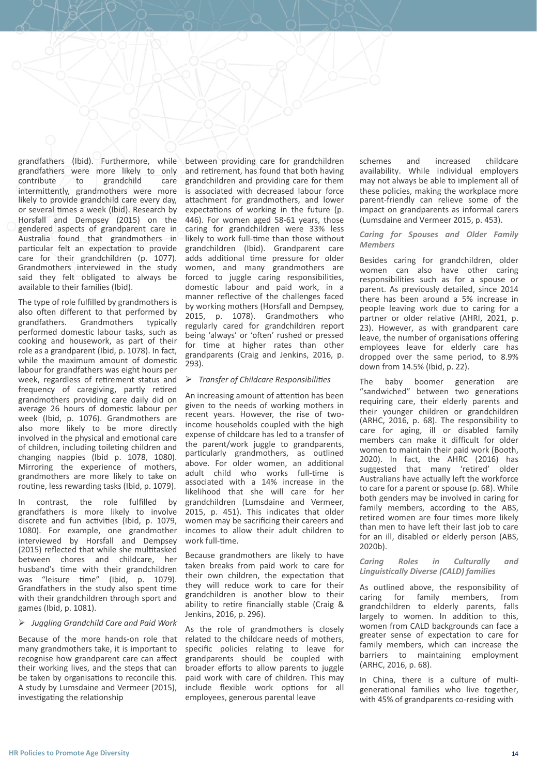grandfathers (Ibid). Furthermore, while grandfathers were more likely to only contribute to grandchild care intermittently, grandmothers were more likely to provide grandchild care every day, or several times a week (Ibid). Research by Horsfall and Dempsey (2015) on the gendered aspects of grandparent care in Australia found that grandmothers in particular felt an expectation to provide care for their grandchildren (p. 1077). Grandmothers interviewed in the study said they felt obligated to always be available to their families (Ibid).

The type of role fulfilled by grandmothers is also often different to that performed by grandfathers. Grandmothers typically performed domestic labour tasks, such as cooking and housework, as part of their role as a grandparent (Ibid, p. 1078). In fact, while the maximum amount of domestic labour for grandfathers was eight hours per week, regardless of retirement status and frequency of caregiving, partly retired grandmothers providing care daily did on average 26 hours of domestic labour per week (Ibid, p. 1076). Grandmothers are also more likely to be more directly involved in the physical and emotional care of children, including toileting children and changing nappies (Ibid p. 1078, 1080). Mirroring the experience of mothers, grandmothers are more likely to take on routine, less rewarding tasks (Ibid, p. 1079).

In contrast, the role fulfilled by grandfathers is more likely to involve discrete and fun activities (Ibid, p. 1079, 1080). For example, one grandmother interviewed by Horsfall and Dempsey (2015) reflected that while she multitasked between chores and childcare, her husband's time with their grandchildren was "leisure time" (Ibid, p. 1079). Grandfathers in the study also spent time with their grandchildren through sport and games (Ibid, p. 1081).

### Ø *Juggling Grandchild Care and Paid Work*

Because of the more hands-on role that many grandmothers take, it is important to recognise how grandparent care can affect their working lives, and the steps that can be taken by organisations to reconcile this. A study by Lumsdaine and Vermeer (2015), investigating the relationship

between providing care for grandchildren and retirement, has found that both having grandchildren and providing care for them is associated with decreased labour force attachment for grandmothers, and lower expectations of working in the future (p. 446). For women aged 58-61 years, those caring for grandchildren were 33% less likely to work full-time than those without grandchildren (Ibid). Grandparent care adds additional time pressure for older women, and many grandmothers are forced to juggle caring responsibilities, domestic labour and paid work, in a manner reflective of the challenges faced by working mothers (Horsfall and Dempsey, 2015, p. 1078). Grandmothers who regularly cared for grandchildren report being 'always' or 'often' rushed or pressed for time at higher rates than other grandparents (Craig and Jenkins, 2016, p. 293).

## Ø *Transfer of Childcare ResponsibiliDes*

An increasing amount of attention has been given to the needs of working mothers in recent years. However, the rise of twoincome households coupled with the high expense of childcare has led to a transfer of the parent/work juggle to grandparents, particularly grandmothers, as outlined above. For older women, an additional adult child who works full-time is associated with a 14% increase in the likelihood that she will care for her grandchildren (Lumsdaine and Vermeer, 2015, p. 451). This indicates that older women may be sacrificing their careers and incomes to allow their adult children to work full-time.

Because grandmothers are likely to have taken breaks from paid work to care for their own children, the expectation that they will reduce work to care for their grandchildren is another blow to their ability to retire financially stable (Craig & Jenkins, 2016, p. 296).

As the role of grandmothers is closely related to the childcare needs of mothers, specific policies relating to leave for grandparents should be coupled with broader efforts to allow parents to juggle paid work with care of children. This may include flexible work options for all employees, generous parental leave

schemes and increased childcare availability. While individual employers may not always be able to implement all of these policies, making the workplace more parent-friendly can relieve some of the impact on grandparents as informal carers (Lumsdaine and Vermeer 2015, p. 453).

## *Caring for Spouses and Older Family Members*

Besides caring for grandchildren, older women can also have other caring responsibilities such as for a spouse or parent. As previously detailed, since 2014 there has been around a 5% increase in people leaving work due to caring for a partner or older relative (AHRI, 2021, p. 23). However, as with grandparent care leave, the number of organisations offering employees leave for elderly care has dropped over the same period, to 8.9% down from 14.5% (Ibid, p. 22).

The baby boomer generation are "sandwiched" between two generations requiring care, their elderly parents and their younger children or grandchildren (ARHC, 2016, p. 68). The responsibility to care for aging, ill or disabled family members can make it difficult for older women to maintain their paid work (Booth, 2020). In fact, the AHRC (2016) has suggested that many 'retired' older Australians have actually left the workforce to care for a parent or spouse (p. 68). While both genders may be involved in caring for family members, according to the ABS, retired women are four times more likely than men to have left their last job to care for an ill, disabled or elderly person (ABS, 2020b).

## *Caring Roles in Culturally and Linguistically Diverse (CALD) families*

As outlined above, the responsibility of caring for family members, from grandchildren to elderly parents, falls largely to women. In addition to this,<br>women from CALD backgrounds can face a greater sense of expectation to care for family members, which can increase the barriers to maintaining employment (ARHC, 2016, p. 68).

In China, there is a culture of multigenerational families who live together, with 45% of grandparents co-residing with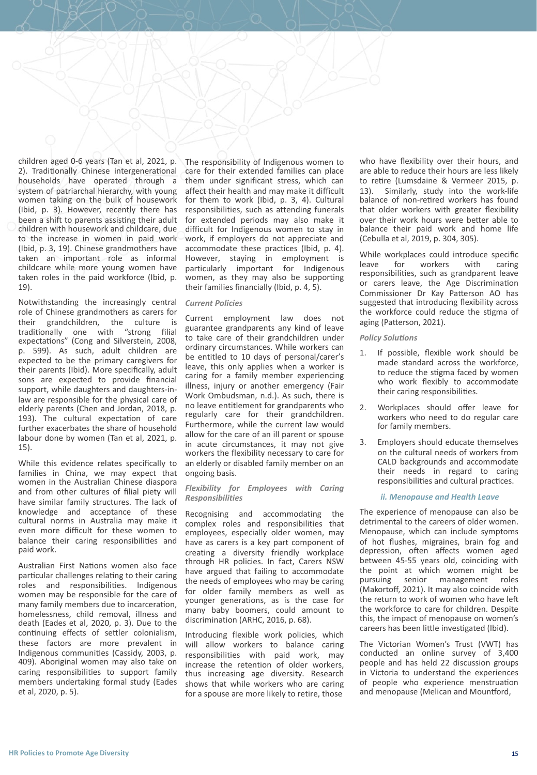2). Traditionally Chinese intergenerational households have operated through a system of patriarchal hierarchy, with young women taking on the bulk of housework (Ibid, p. 3). However, recently there has been a shift to parents assisting their adult children with housework and childcare, due to the increase in women in paid work (Ibid, p. 3, 19). Chinese grandmothers have taken an important role as informal childcare while more young women have taken roles in the paid workforce (Ibid, p. 19). Notwithstanding the increasingly central

role of Chinese grandmothers as carers for their grandchildren, the culture is traditionally one with "strong filial expectations" (Cong and Silverstein, 2008, p. 599). As such, adult children are expected to be the primary caregivers for their parents (Ibid). More specifically, adult sons are expected to provide financial support, while daughters and daughters-inlaw are responsible for the physical care of elderly parents (Chen and Jordan, 2018, p. 193). The cultural expectation of care further exacerbates the share of household labour done by women (Tan et al, 2021, p. 15).

While this evidence relates specifically to families in China, we may expect that women in the Australian Chinese diaspora and from other cultures of filial piety will have similar family structures. The lack of knowledge and acceptance of these cultural norms in Australia may make it even more difficult for these women to balance their caring responsibilities and paid work.

Australian First Nations women also face particular challenges relating to their caring roles and responsibilities. Indigenous women may be responsible for the care of many family members due to incarceration, homelessness, child removal, illness and death (Eades et al, 2020, p. 3). Due to the continuing effects of settler colonialism, these factors are more prevalent in Indigenous communities (Cassidy, 2003, p. 409). Aboriginal women may also take on caring responsibilities to support family members undertaking formal study (Eades et al, 2020, p. 5).

children aged 0-6 years (Tan et al, 2021, p. The responsibility of Indigenous women to care for their extended families can place them under significant stress, which can affect their health and may make it difficult for them to work (Ibid, p. 3, 4). Cultural responsibilities, such as attending funerals for extended periods may also make it difficult for Indigenous women to stay in work, if employers do not appreciate and accommodate these practices (Ibid, p. 4). However, staying in employment is particularly important for Indigenous women, as they may also be supporting their families financially (Ibid, p. 4, 5).

## *Current Policies*

Current employment law does not guarantee grandparents any kind of leave to take care of their grandchildren under ordinary circumstances. While workers can be entitled to 10 days of personal/carer's leave, this only applies when a worker is caring for a family member experiencing illness, injury or another emergency (Fair Work Ombudsman, n.d.). As such, there is no leave entitlement for grandparents who regularly care for their grandchildren. Furthermore, while the current law would allow for the care of an ill parent or spouse in acute circumstances, it may not give workers the flexibility necessary to care for an elderly or disabled family member on an ongoing basis.

### *Flexibility for Employees with Caring Responsibilities*

Recognising and accommodating the complex roles and responsibilities that employees, especially older women, may have as carers is a key part component of creating a diversity friendly workplace through HR policies. In fact, Carers NSW have argued that failing to accommodate the needs of employees who may be caring for older family members as well as younger generations, as is the case for many baby boomers, could amount to discrimination (ARHC, 2016, p. 68).

Introducing flexible work policies, which will allow workers to balance caring responsibilities with paid work, may increase the retention of older workers, thus increasing age diversity. Research shows that while workers who are caring for a spouse are more likely to retire, those

who have flexibility over their hours, and are able to reduce their hours are less likely to retire (Lumsdaine & Vermeer 2015, p. 13). Similarly, study into the work-life balance of non-retired workers has found that older workers with greater flexibility over their work hours were better able to balance their paid work and home life (Cebulla et al, 2019, p. 304, 305).

While workplaces could introduce specific leave for workers with caring responsibilities, such as grandparent leave or carers leave, the Age Discrimination Commissioner Dr Kay Patterson AO has suggested that introducing flexibility across the workforce could reduce the stigma of aging (Patterson, 2021).

## **Policy Solutions**

- 1. If possible, flexible work should be made standard across the workforce, to reduce the stigma faced by women who work flexibly to accommodate their caring responsibilities.
- 2. Workplaces should offer leave for workers who need to do regular care for family members.
- 3. Employers should educate themselves on the cultural needs of workers from CALD backgrounds and accommodate their needs in regard to caring responsibilities and cultural practices.

### *ii. Menopause and Health Leave*

The experience of menopause can also be detrimental to the careers of older women. Menopause, which can include symptoms of hot flushes, migraines, brain fog and depression, often affects women aged between 45-55 years old, coinciding with the point at which women might be<br>pursuing senior management roles senior management (Makortoff, 2021). It may also coincide with the return to work of women who have lef the workforce to care for children. Despite this, the impact of menopause on women's careers has been little investigated (Ibid).

The Victorian Women's Trust (VWT) has conducted an online survey of 3,400 people and has held 22 discussion groups in Victoria to understand the experiences of people who experience menstruation and menopause (Melican and Mountford,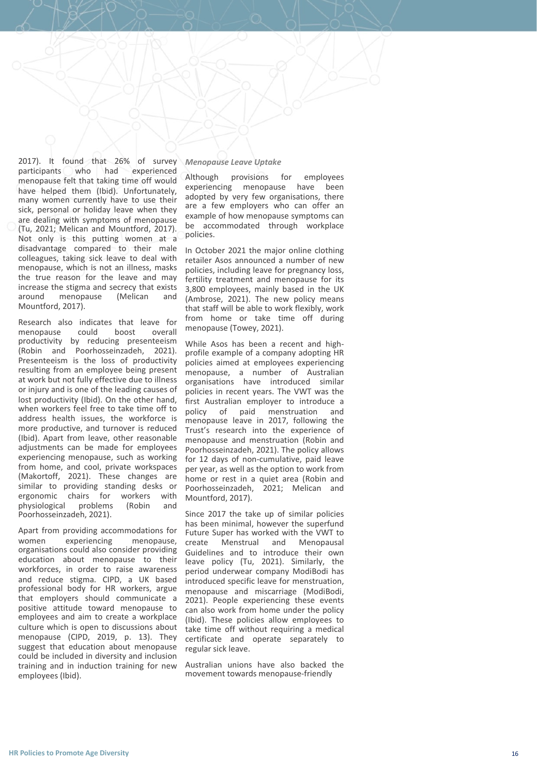2017 ) . It found that 26 % of survey participants who had experienced menopause felt that taking time off would have helped them (Ibid) . Unfortunately, many women currently have to use their sick, personal or holiday leave when they are dealing with symptoms of menopause (Tu, 2021 ; Melican and Mountford , 2017 ) . Not only is this putting women at a disadvantage compared to their male colleagues, taking sick leave to deal with menopause, which is not an illness, masks the true reason for the leave and may increase the stigma and secrecy that exists<br>around menopause (Melican and menopause (Melican and Mountford, 2017).

Research also indicates that leave for menopause could boost overall productivity by reducing presenteeism (Robin and Poorhosseinzadeh , 2021 ) . Presenteeism is the loss of productivity resulting from an employee being present at work but not fully effective due to illness or injury and is one of the leading causes of lost productivity (Ibid) . On the other hand, when workers feel free to take time off to address health issues, the workforce is more productive, and turnover is reduced (Ibid) . Apart from leave, other reasonable adjustments can be made for employees experiencing menopause, such as working from home, and cool, private workspaces (Makortoff, 2021). These changes are similar to providing standing desks or ergonomic chairs for workers with physiological problems (Robin and Poorhosseinzadeh, 2021).

Apart from providing accommodations for women experiencing menopause, organisations could also consider providing education about menopause to their workforces, in order to raise awareness and reduce stigma . CIPD, a UK based professional body for HR workers, argue that employers should communicate a positive attitude toward menopause to employees and aim to create a workplace culture which is open to discussions about menopause (CIPD, 2019, p. 13). They suggest that education about menopause could be included in diversity and inclusion training and in induction training for new employees (Ibid) .

*Menopause Leave Uptake*

Although provisions for employees experiencing menopause have been adopted by very few organisations, there are <sup>a</sup> few employers who can offer an example of how menopause symptoms can be accommodated through workplace policies .

In October 2021 the major online clothing retailer Asos announced a number of new policies, including leave for pregnancy loss, fertility treatment and menopause for its 3,800 employees, mainly based in the UK (Ambrose, 2021 ) . The new policy means that staff will be able to work flexibly, work from home or take time off during menopause (Towey , 2021 ) .

While Asos has been a recent and high profile example of a company adopting HR policies aimed at employees experiencing menopause, a number of Australian organisations have introduced similar policies in recent years . The VWT was the first Australian employer to introduce a policy of paid menstruation and menopause leave in 2017 , following the Trust's research into the experience of menopause and menstruation (Robin and Poorhosseinzadeh , 2021 ) . The policy allows for 12 days of non -cumulative, paid leave per year, as well as the option to work from home or rest in a quiet area (Robin and Poorhosseinzadeh , 2021 ; Melican and Mountford, 2017).

Since 2017 the take up of similar policies has been minimal, however the superfund Future Super has worked with the VWT to create Menstrual and Menopausal Guidelines and to introduce their own leave policy (Tu, 2021). Similarly, the period underwear company ModiBodi has introduced specific leave for menstruation, menopause and miscarriage (ModiBodi , 2021 ) . People experiencing these events can also work from home under the policy (Ibid) . These policies allow employees to take time off without requiring a medical certificate and operate separately to regular sick leave .

Australian unions have also backed the movement towards menopause -friendly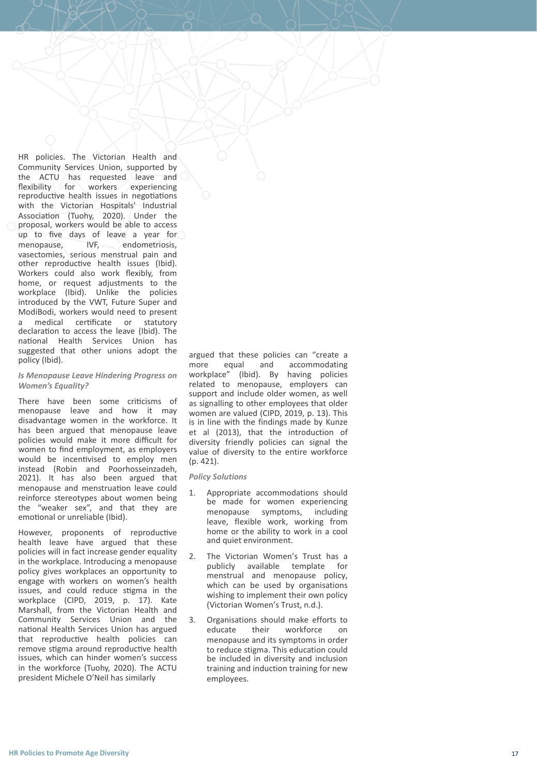HR policies . The Victorian Health and Community Services Union, supported by the ACTU has requested leave and flexibility for workers experiencing reproductive health issues in negotiations with the Victorian Hospitals' Industrial Association (Tuohy, 2020). Under the proposal, workers would be able to access up to five days of leave a year for menopause, IVF, endometriosis, vasectomies, serious menstrual pain and other reproductive health issues (Ibid). Workers could also work flexibly, from home, or request adjustments to the workplace (Ibid) . Unlike the policies introduced by the VWT, Future Super and ModiBodi , workers would need to present a medical certificate or statutory declaration to access the leave (Ibid). The national Health Services Union has suggested that other unions adopt the policy (Ibid) .

## *Is Menopause Leave Hindering Progress on Women's Equality?*

There have been some criticisms of menopause leave and how it may disadvantage women in the workforce . It has been argued that menopause leave<br>policies would make it more difficult for women to find employment, as employers would be incentivised to employ men instead (Robin and Poorhosseinzadeh , 2021). It has also been argued that menopause and menstruation leave could reinforce stereotypes about women being the "weaker sex", and that they are emotional or unreliable (Ibid).

However, proponents of reproductive health leave have argued that these policies will in fact increase gender equality in the workplace . Introducing a menopause policy gives workplaces an opportunity to engage with workers on women's health issues, and could reduce stigma in the workplace (CIPD, 2019 , p . 17 ) . Kate Marshall, from the Victorian Health and Community Services Union and the national Health Services Union has argued that reproductive health policies can remove stigma around reproductive health issues, which can hinder women's success in the workforce (Tuohy, 2020 ) . The ACTU president Michele O'Neil has similarly

argued that these policies can "create a more equal and accommodating workplace" (Ibid) . By having policies related to menopause, employers can support and include older women, as well as signalling to other employees that older women are valued (CIPD, 2019, p. 13). This is in line with the findings made by Kunze et al (2013), that the introduction of diversity friendly policies can signal the value of diversity to the entire workforce (p . 421 ) .

### *Policy Solutions*

- 1. Appropriate accommodations should be made for women experiencing menopause symptoms, including leave, flexible work, working from home or the ability to work in a cool and quiet environment .
- 2. The Victorian Women's Trust has a publicly available template for menstrual and menopause policy, which can be used by organisations wishing to implement their own policy (Victorian Women's Trust, n.d.).
- 3. Organisations should make efforts to educate their workforce on menopause and its symptoms in order to reduce stigma . This education could be included in diversity and inclusion training and induction training for new employees .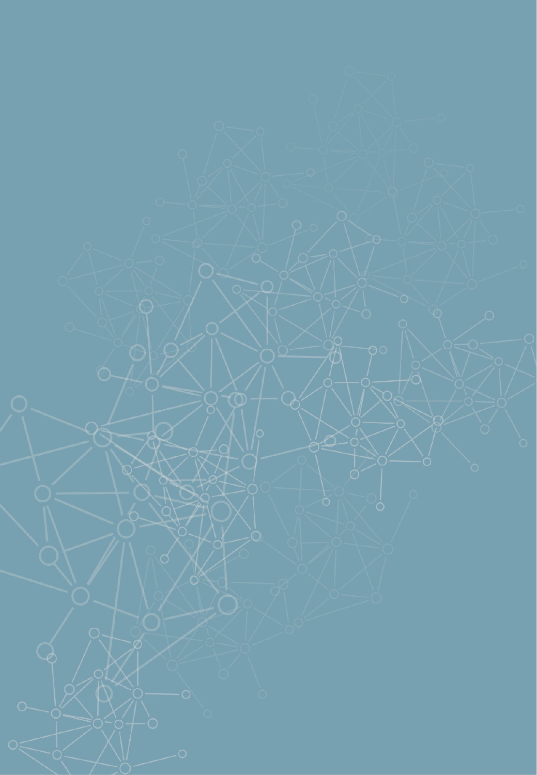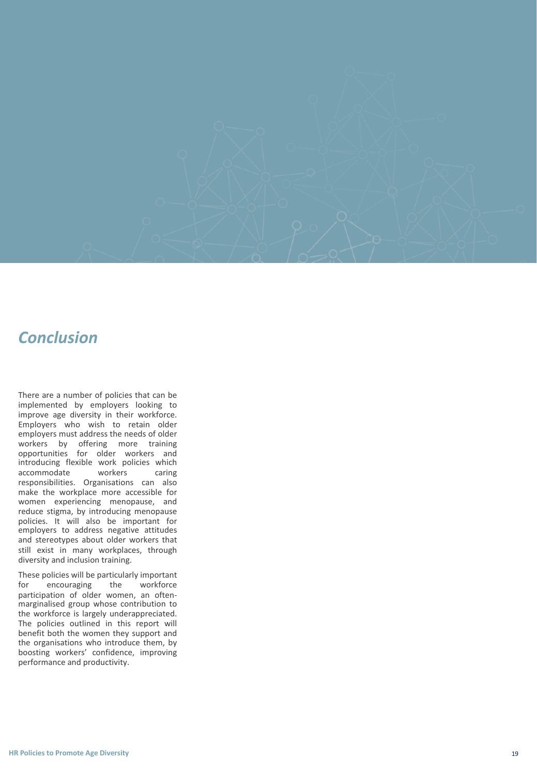

## *Conclusion*

There are a number of policies that can be implemented by employers looking to improve age diversity in their workforce . Employers who wish to retain older employers must address the needs of older workers by offering more training opportunities for older workers and introducing flexible work policies which accommodate workers caring responsibilities . Organisations can also make the workplace more accessible for women experiencing menopause, and reduce stigma, by introducing menopause policies . It will also be important for employers to address negative attitudes and stereotypes about older workers that still exist in many workplaces, through diversity and inclusion training .

These policies will be particularly important<br>for and encouraging the workforce for encouraging the workforce participation of older women, an often - marginalised group whose contribution to the workforce is largely underappreciated . The policies outlined in this report will benefit both the women they support and the organisations who introduce them, by boosting workers' confidence, improving performance and productivity .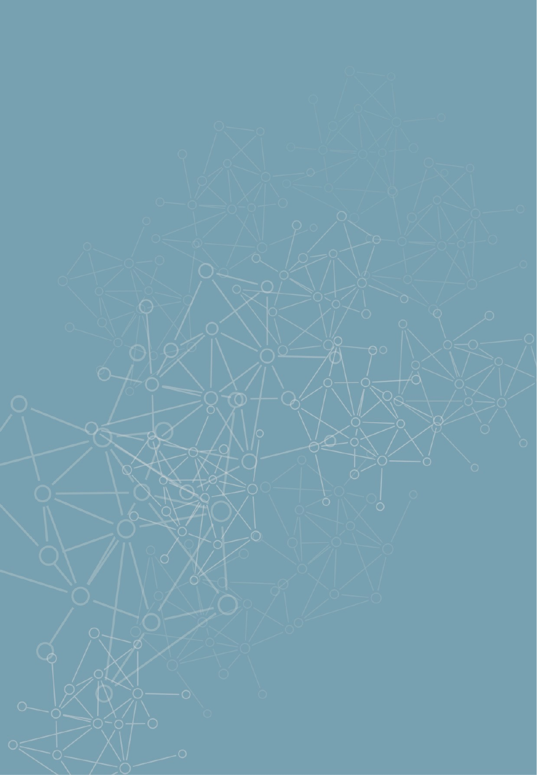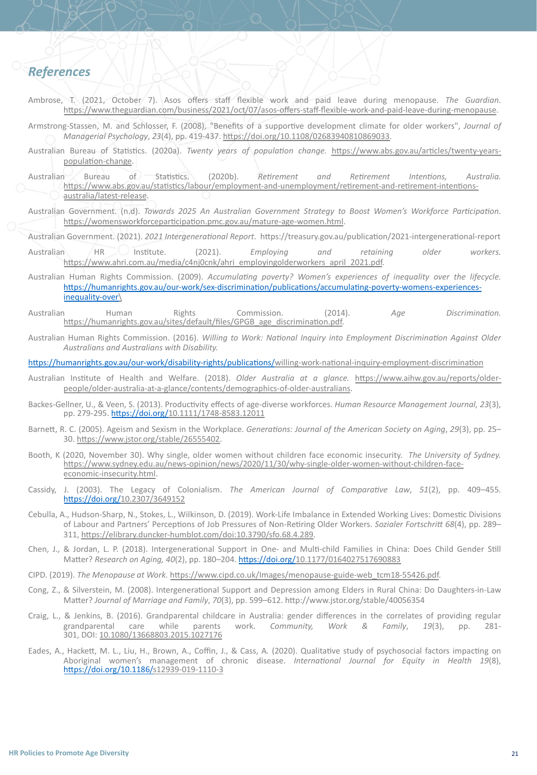## *References*

- Ambrose, T. (2021, October 7). Asos offers staff flexible work and paid leave during [menopause.](https://www.theguardian.com/business/2021/oct/07/asos-offers-staff-flexible-work-and-paid-leave-during-menopause) *The Guardian*. https://www.theguardian.com/business/2021/oct/07/asos-offers-staff-flexible-work-and-paid-leave-during-menopause.
- Armstrong-Stassen, M. and Schlosser, F. (2008), "Benefits of a supportive [development](https://doi.org/10.1108/02683940810869033) climate for older workers", *Journal of Managerial Psychology*, *23*(4), pp. 419-437. hlps://doi.org/10.1108/02683940810869033.
- Australian Bureau of Statistics. (2020a). *Twenty years of population change.* https://www.abs.gov.au/articles/twenty-yearspopulation-change.
- Australian Bureau of Statistics. (2020b). *Retirement and Retirement Intentions, Australia.*<br>https://www.abs.gov.au/statistics/labour/employment-and-unemployment/retirement-and-retirement-intentionsaustralia/latest-release.
- Australian [Government.](https://womensworkforceparticipation.pmc.gov.au/mature-age-women.html) (n.d). Towards 2025 An Australian Government Strategy to Boost Women's Workforce Participation. https://womensworkforceparticipation.pmc.gov.au/mature-age-women.html.

Australian Government. (2021). *2021 Intergenerational Report*. https://treasury.gov.au/publication/2021-intergenerational-report

Australian HR InsYtute. (2021). *[Employing](https://www.ahri.com.au/media/c4nj0cnk/ahri_employingolderworkers_april_2021.pdf) and retaining older workers.* https://www.ahri.com.au/media/c4nj0cnk/ahri\_employingolderworkers\_april\_2021.pdf.

Australian Human Rights Commission. (2009). Accumulating poverty? Women's experiences of inequality over the lifecycle. https://humanrights.gov.au/our-work/sex-discrimination/publications/accumulating-poverty-womens-experiencesinequality-over\

- Australian Human Rights [Commission.](https://humanrights.gov.au/sites/default/files/GPGB_age_discrimination.pdf) (2014). Age *Discrimination.* https://humanrights.gov.au/sites/default/files/GPGB\_age\_discrimination.pdf.
- Australian Human Rights Commission. (2016). *Willing to Work: National Inquiry into Employment Discrimination Against Older Australians and [Australians](https://humanrights.gov.au/our-work/disability-rights/publications/willing-work-national-inquiry-employment-discrimination) with Disability.*

https://humanrights.gov.au/our-work/disability-rights/publications/willing-work-national-inquiry-employment-discrimination

- Australian Institute of Health and Welfare. (2018). Older Australia at a glance. https://www.aihw.gov.au/reports/olderpeople/older-australia-at-a-glance/contents/demographics-of-older-australians.
- Backes-Gellner, U., & Veen, S. (2013). Productivity effects of age-diverse workforces. Human Resource Management Journal, 23(3), pp. 279-295. https://doi.org/10.1111/1748-8583.12011
- Barnett, R. C. (2005). [Ageism](https://www.jstor.org/stable/26555402) and Sexism in the Workplace. *Generations: Journal of the American Society on Aging, 29*(3), pp. 25-30. https://www.jstor.org/stable/26555402.
- Booth, K (2020, November 30). Why single, older women without children face economic insecurity. *The University of Sydney.* https://www.sydney.edu.au/news-opinion/news/2020/11/30/why-single-older-women-without-children-faceeconomic-insecurity.html.
- Cassidy, J. [\(2003\).](https://doi.org/10.2307/3649152) The Legacy of Colonialism. The American Journal of Comparative Law, 51(2), pp. 409-455. https://doi.org/10.2307/3649152
- Cebulla, A., Hudson-Sharp, N., Stokes, L., Wilkinson, D. (2019). Work-Life Imbalance in Extended Working Lives: Domestic Divisions of Labour and Partners' Perceptions of Job Pressures of Non-Retiring Older Workers. *Sozialer Fortschritt 68*(4), pp. 289– 311, https://elibrary.duncker-humblot.com/doi:10.3790/sfo.68.4.289.
- Chen, J., & Jordan, L. P. (2018). Intergenerational Support in One- and Multi-child Families in China: Does Child Gender Still Maler? *Research on Aging, 40*(2), pp. 180–204. [hlps://doi.org/10.1177/0164027517690883](https://www.cipd.co.uk/Images/menopause-guide-web_tcm18-55426.pdf)
- CIPD. (2019). *The Menopause at Work.* https://www.cipd.co.uk/Images/menopause-guide-web\_tcm18-55426.pdf.
- Cong, Z., & Silverstein, M. (2008). Intergenerational Support and Depression among Elders in Rural China: Do Daughters-in-Law Maler? *Journal of Marriage and Family*, *70*(3), pp. 599–612. hlp://www.jstor.org/stable/40056354
- Craig, L., & Jenkins, B. (2016). Grandparental childcare in Australia: gender differences in the correlates of providing regular<br>
grandparental care while parents work. Community, Work & Family, 19(3), pp. 281grandparental care while [parents](https://doi.org/10.1080/13668803.2015.1027176) work. *Community, Work & Family*, *<sup>19</sup>*(3), pp. 281- 301, DOI: 10.1080/13668803.2015.1027176
- Eades, A., Hackett, M. L., Liu, H., Brown, A., Coffin, J., & Cass, A. (2020). Qualitative study of psychosocial factors impacting on Aboriginal women's [management](https://doi.org/10.1186/s12939-019-1110-3) of chronic disease. *International Journal for Equity in Health 19(8)*, https://doi.org/10.1186/s12939-019-1110-3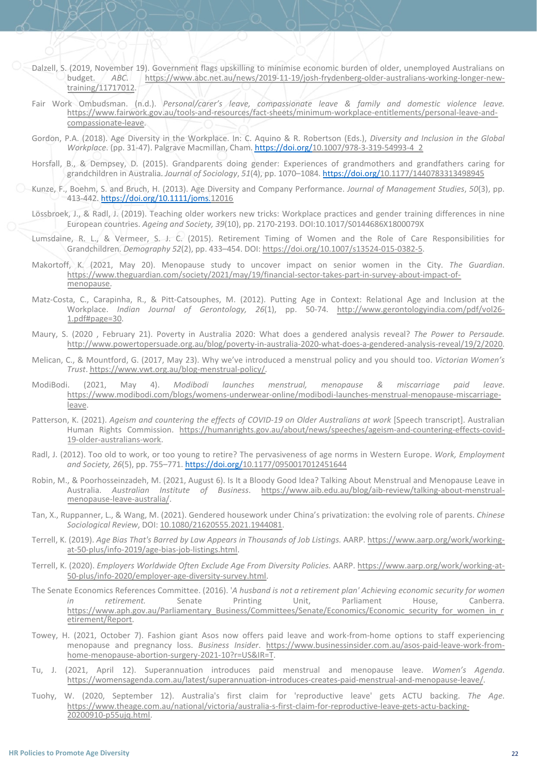- Dalzell, S. (2019, November 19). Government flags upskilling to minimise economic burden of older, unemployed Australians on budget. *ABC.* [https://www.abc.net.au/news/2019-11-19/josh-frydenberg-older-australians-working-longer-new](https://www.abc.net.au/news/2019-11-19/josh-frydenberg-older-australians-working-longer-new-training/11717012)training/11717012.
- Fair Work Ombudsman. (n.d.). Personal/carer's leave, compassionate leave & family and domestic violence leave.<br>[https://www.fairwork.gov.au/tools-and-resources/fact-sheets/minimum-workplace-entitlements/personal-leave-and](https://www.fairwork.gov.au/tools-and-resources/fact-sheets/minimum-workplace-entitlements/personal-leave-and-compassionate-leave)compassionate-leave.
- Gordon, P.A. (2018). Age Diversity in the Workplace. In: C. Aquino & R. [Robertson](https://doi.org/10.1007/978-3-319-54993-4_2) (Eds.), *Diversity and Inclusion in the Global Workplace*. (pp. 31-47). Palgrave Macmillan, Cham. https://doi.org/10.1007/978-3-319-54993-4\_2
- Horsfall, B., & Dempsey, D. (2015). Grandparents doing gender: Experiences of [grandmothers](https://doi.org/10.1177/1440783313498945) and grandfathers caring for grandchildren in Australia. *Journal of Sociology*, *51*(4), pp. 1070–1084. https://doi.org/10.1177/1440783313498945
- Kunze, F., Boehm, S. and Bruch, H. (2013). Age [Diversit](https://doi.org/10.1111/joms.12016)y and Company Performance. *Journal of Management Studies*, *<sup>50</sup>*(3), pp. 413-442. https://doi.org/10.1111/joms.12016
- Lössbroek, J., & Radl, J. (2019). Teaching older workers new tricks: Workplace practices and gender training differences in nine European countries. *Ageing and Society, 39*(10), pp. 2170-2193. DOI:10.1017/S0144686X1800079X
- Lumsdaine, R. L., & Vermeer, S. J. C. (2015). Retirement Timing of [Women](https://doi.org/10.1007/s13524-015-0382-5) and the Role of Care Responsibilities for Grandchildren. *Demography 52*(2), pp. 433–454. DOI: https://doi.org/10.1007/s13524-015-0382-5.
- Makortoff, K. (2021, May 20). Menopause study to uncover impact on senior women in the City. *The Guardian*. [https://www.theguardian.com/society/2021/may/19/financial-sector-takes-part-in-survey-about-impact-of](https://www.theguardian.com/society/2021/may/19/financial-sector-takes-part-in-survey-about-impact-of-menopause)menopause.
- Matz-Costa, C., Carapinha, R., & Pitt-Catsouphes, M. (2012). Putting Age in Context: Relational Age and Inclusion at the Workplace. *Indian Journal of Gerontology, 26*(1), pp. 50-74. [http://www.gerontologyindia.com/pdf/vol26-](http://www.gerontologyindia.com/pdf/vol26-1.pdf) 1.pdf#page=30.
- Maury, S. (2020 , February 21). Poverty in Australia 2020: What does a [gendered](http://www.powertopersuade.org.au/blog/poverty-in-australia-2020-what-does-a-gendered-analysis-reveal/19/2/2020) analysis reveal? *The Power to Persaude.* http://www.powertopersuade.org.au/blog/poverty-in-australia-2020-what-does-a-gendered-analysis-reveal/19/2/2020.
- Melican, C., & [Mountford,](https://www.vwt.org.au/blog-menstrual-policy/) G. (2017, May 23). Why we've introduced a menstrual policy and you should too. *Victorian Women's Trust*. https://www.vwt.org.au/blog-menstrual-policy/.
- ModiBodi. (2021, May 4). *Modibodi launches menstrual, menopause & miscarriage paid leave*. [https://www.modibodi.com/blogs/womens-underwear-online/modibodi-launches-menstrual-menopause-miscarriage](https://www.modibodi.com/blogs/womens-underwear-online/modibodi-launches-menstrual-menopause-miscarriage-leave)leave.
- Patterson, K. (2021). *Ageism and countering the effects of COVID-19 on Older Australians at work* [Speech transcript]. Australian Human Rights Commission. [https://humanrights.gov.au/about/news/speeches/ageism-and-countering-effects-covid-](https://humanrights.gov.au/about/news/speeches/ageism-and-countering-effects-covid-19-older-australians-work)19-older-australians-work.
- Radl, J. (2012). Too old to work, or too young to retire? The [pervasiveness](https://doi.org/10.1177/0950017012451644) of age norms in Western Europe. *Work, Employment and Society, 26*(5), pp. 755–771. https://doi.org/10.1177/0950017012451644
- Robin, M., & Poorhosseinzadeh, M. (2021, August 6). Is It a Bloody Good Idea? Talking About Menstrual and Menopause Leave in Australia. *Australian Institute of Business*. [https://www.aib.edu.au/blog/aib-review/talking-about-menstrual](https://www.aib.edu.au/blog/aib-review/talking-about-menstrual-menopause-leave-australia/)menopause-leave-australia/.
- Tan, X., Ruppanner, L., & Wang, M. (2021). Gendered [housework](https://doi.org/10.1080/21620555.2021.1944081) under China's privatization: the evolving role of parents. *Chinese Sociological Review*, DOI: 10.1080/21620555.2021.1944081.
- Terrell, K. (2019). *Age Bias That's Barred by Law Appears in Thousands of Job Listings.* AARP. [https://www.aarp.org/work/working](https://www.aarp.org/work/working-at-50-plus/info-2019/age-bias-job-listings.html)at-50-plus/info-2019/age-bias-job-listings.html.
- Terrell, K. (2020). *Employers Worldwide Often Exclude Age From Diversity Policies.* AARP. [https://www.aarp.org/work/working-at-](https://www.aarp.org/work/working-at-50-plus/info-2020/employer-age-diversity-survey.html)50-plus/info-2020/employer-age-diversity-survey.html.
- The Senate Economics References Committee. (2016). '*A husband is not a retirement plan' Achieving economic security for women in retirement.* Senate Printing Unit, Parliament House, Canberra. https://www.aph.gov.au/Parliamentary\_Business/Committees/Senate/Economics/Economic security\_for\_women\_in\_r etirement/Report.
- Towey, H. (2021, October 7). Fashion giant Asos now offers paid leave and work-from-home options to staff experiencing menopause and pregnancy loss. *Business Insider*. [https://www.businessinsider.com.au/asos-paid-leave-work-from](https://www.businessinsider.com.au/asos-paid-leave-work-from-home-menopause-abortion-surgery-2021-10?r=US&IR=T)home-menopause-abortion-surgery-2021-10?r=US&IR=T.
- Tu, J. (2021, April 12). [Superannuation](https://womensagenda.com.au/latest/superannuation-introduces-creates-paid-menstrual-and-menopause-leave/) introduces paid menstrual and menopause leave. *Women's Agenda*. https://womensagenda.com.au/latest/superannuation-introduces-creates-paid-menstrual-and-menopause-leave/.
- Tuohy, W. (2020, September 12). Australia's first claim for 'reproductive leave' gets ACTU backing. *The Age*. [https://www.theage.com.au/national/victoria/australia-s-first-claim-for-reproductive-leave-gets-actu-backing-](https://www.theage.com.au/national/victoria/australia-s-first-claim-for-reproductive-leave-gets-actu-backing-20200910-p55ujq.html) 20200910-p55ujq.html.